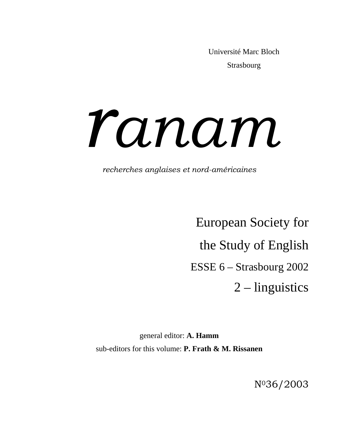Université Marc Bloch Strasbourg

# *anam*

*recherches anglaises et nord-américaines*

European Society for the Study of English ESSE 6 – Strasbourg 2002 2 – linguistics

general editor: **A. Hamm**  sub-editors for this volume: **P. Frath & M. Rissanen** 

N036/2003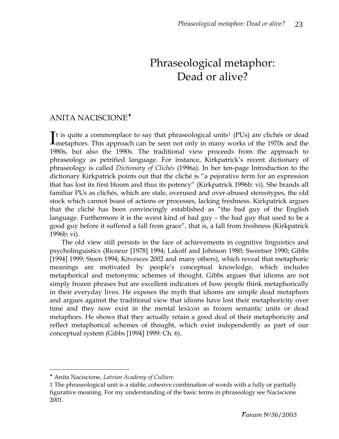## Phraseological metaphor: Dead or alive?

#### ANITA NACISCIONE[♦](#page-1-0)

It is quite a commonplace to say that phraseological units<sup>[1](#page-1-1)</sup> (PUs) are clichés or dead It is quite a commonplace to say that phraseological units<sup>1</sup> (PUs) are clichés or dead metaphors. This approach can be seen not only in many works of the 1970s and the 1980s, but also the 1990s. The traditional view proceeds from the approach to phraseology as petrified language. For instance, Kirkpatrick's recent dictionary of phraseology is called *Dictionary of Clichés* (1996a). In her ten-page Introduction to the dictionary Kirkpatrick points out that the cliché is "a pejorative term for an expression that has lost its first bloom and thus its potency" (Kirkpatrick 1996b: vi). She brands all familiar PUs as clichés, which are stale, overused and over-abused stereotypes, the old stock which cannot boast of actions or processes, lacking freshness. Kirkpatrick argues that the cliché has been convincingly established as "the bad guy of the English language. Furthermore it is the worst kind of bad guy – the bad guy that used to be a good guy before it suffered a fall from grace", that is, a fall from freshness (Kirkpatrick 1996b: vi).

The old view still persists in the face of achievements in cognitive linguistics and psycholinguistics (Ricoeur [1978] 1994; Lakoff and Johnson 1980; Sweetser 1990; Gibbs [1994] 1999; Steen 1994; Kövesces 2002 and many others), which reveal that metaphoric meanings are motivated by people's conceptual knowledge, which includes metaphorical and metonymic schemes of thought. Gibbs argues that idioms are not simply frozen phrases but are excellent indicators of how people think metaphorically in their everyday lives. He exposes the myth that idioms are simple dead metaphors and argues against the traditional view that idioms have lost their metaphoricity over time and they now exist in the mental lexicon as frozen semantic units or dead metaphors. He shows that they actually retain a good deal of their metaphoricity and reflect metaphorical schemes of thought, which exist independently as part of our conceptual system (Gibbs [1994] 1999: Ch. 6).

l

<span id="page-1-0"></span><sup>♦</sup> Anita Naciscione, *Latvian Academy of Culture.* 

<span id="page-1-1"></span><sup>1</sup> The phraseological unit is a stable, cohesive combination of words with a fully or partially figurative meaning. For my understanding of the basic terms in phraseology see Naciscione 2001.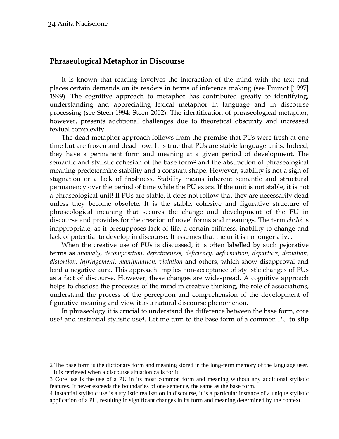$\overline{a}$ 

#### **Phraseological Metaphor in Discourse**

It is known that reading involves the interaction of the mind with the text and places certain demands on its readers in terms of inference making (see Emmot [1997] 1999). The cognitive approach to metaphor has contributed greatly to identifying, understanding and appreciating lexical metaphor in language and in discourse processing (see Steen 1994; Steen 2002). The identification of phraseological metaphor, however, presents additional challenges due to theoretical obscurity and increased textual complexity.

 The dead-metaphor approach follows from the premise that PUs were fresh at one time but are frozen and dead now. It is true that PUs are stable language units. Indeed, they have a permanent form and meaning at a given period of development. The semantic and stylistic cohesion of the base form[2](#page-2-0) and the abstraction of phraseological meaning predetermine stability and a constant shape. However, stability is not a sign of stagnation or a lack of freshness. Stability means inherent semantic and structural permanency over the period of time while the PU exists. If the unit is not stable, it is not a phraseological unit! If PUs are stable, it does not follow that they are necessarily dead unless they become obsolete. It is the stable, cohesive and figurative structure of phraseological meaning that secures the change and development of the PU in discourse and provides for the creation of novel forms and meanings. The term *cliché* is inappropriate, as it presupposes lack of life, a certain stiffness, inability to change and lack of potential to develop in discourse. It assumes that the unit is no longer alive.

When the creative use of PUs is discussed, it is often labelled by such pejorative terms as *anomaly, decomposition, defectiveness, deficiency, deformation, departure, deviation, distortion, infringement, manipulation, violation* and others, which show disapproval and lend a negative aura. This approach implies non-acceptance of stylistic changes of PUs as a fact of discourse. However, these changes are widespread. A cognitive approach helps to disclose the processes of the mind in creative thinking, the role of associations, understand the process of the perception and comprehension of the development of figurative meaning and view it as a natural discourse phenomenon.

In phraseology it is crucial to understand the difference between the base form, core use[3](#page-2-1) and instantial stylistic use[4](#page-2-2). Let me turn to the base form of a common PU **to slip** 

<span id="page-2-0"></span><sup>2</sup> The base form is the dictionary form and meaning stored in the long-term memory of the language user. It is retrieved when a discourse situation calls for it.

<span id="page-2-1"></span><sup>3</sup> Core use is the use of a PU in its most common form and meaning without any additional stylistic features. It never exceeds the boundaries of one sentence, the same as the base form.

<span id="page-2-2"></span><sup>4</sup> Instantial stylistic use is a stylistic realisation in discourse, it is a particular instance of a unique stylistic application of a PU, resulting in significant changes in its form and meaning determined by the context.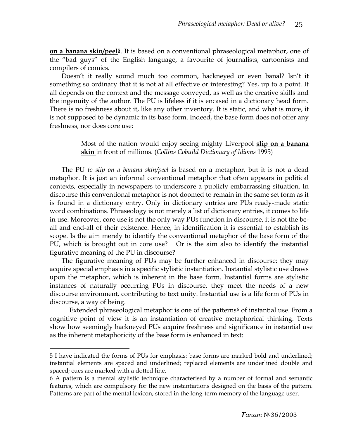**on a banana skin/peel[5](#page-3-0)**. It is based on a conventional phraseological metaphor, one of the "bad guys" of the English language, a favourite of journalists, cartoonists and compilers of comics.

Doesn't it really sound much too common, hackneyed or even banal? Isn't it something so ordinary that it is not at all effective or interesting? Yes, up to a point. It all depends on the context and the message conveyed, as well as the creative skills and the ingenuity of the author. The PU is lifeless if it is encased in a dictionary head form. There is no freshness about it, like any other inventory. It is static, and what is more, it is not supposed to be dynamic in its base form. Indeed, the base form does not offer any freshness, nor does core use:

#### Most of the nation would enjoy seeing mighty Liverpool **slip on a banana skin** in front of millions. (*Collins Cobuild Dictionary of Idioms* 1995)

The PU *to slip on a banana skin/peel* is based on a metaphor, but it is not a dead metaphor. It is just an informal conventional metaphor that often appears in political contexts, especially in newspapers to underscore a publicly embarrassing situation. In discourse this conventional metaphor is not doomed to remain in the same set form as it is found in a dictionary entry. Only in dictionary entries are PUs ready-made static word combinations. Phraseology is not merely a list of dictionary entries, it comes to life in use. Moreover, core use is not the only way PUs function in discourse, it is not the beall and end-all of their existence. Hence, in identification it is essential to establish its scope. Is the aim merely to identify the conventional metaphor of the base form of the PU, which is brought out in core use? Or is the aim also to identify the instantial figurative meaning of the PU in discourse?

The figurative meaning of PUs may be further enhanced in discourse: they may acquire special emphasis in a specific stylistic instantiation. Instantial stylistic use draws upon the metaphor, which is inherent in the base form. Instantial forms are stylistic instances of naturally occurring PUs in discourse, they meet the needs of a new discourse environment, contributing to text unity. Instantial use is a life form of PUs in discourse, a way of being.

Extended phraseological metaphor is one of the patterns<sup>[6](#page-3-1)</sup> of instantial use. From a cognitive point of view it is an instantiation of creative metaphorical thinking. Texts show how seemingly hackneyed PUs acquire freshness and significance in instantial use as the inherent metaphoricity of the base form is enhanced in text:

 $\overline{a}$ 

<span id="page-3-0"></span><sup>5</sup> I have indicated the forms of PUs for emphasis: base forms are marked bold and underlined; instantial elements are spaced and underlined; replaced elements are underlined double and spaced; cues are marked with a dotted line.

<span id="page-3-1"></span><sup>6</sup> A pattern is a mental stylistic technique characterised by a number of formal and semantic features, which are compulsory for the new instantiations designed on the basis of the pattern. Patterns are part of the mental lexicon, stored in the long-term memory of the language user.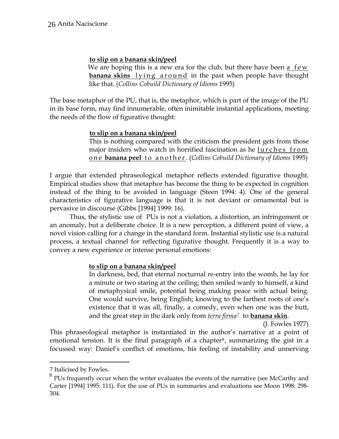#### **to slip on a banana skin/peel**

We are hoping this is a new era for the club, but there have been a few **banana skins** lying around in the past when people have thought like that. (*Collins Cobuild Dictionary of Idioms* 1995)

The base metaphor of the PU, that is, the metaphor, which is part of the image of the PU in its base form, may find innumerable, often inimitable instantial applications, meeting the needs of the flow of figurative thought:

#### **to slip on a banana skin/peel**

 This is nothing compared with the criticism the president gets from those major insiders who watch in horrified fascination as he lurches from one **banana peel** to another. (*Collins Cobuild Dictionary of Idioms* 1995)

I argue that extended phraseological metaphor reflects extended figurative thought. Empirical studies show that metaphor has become the thing to be expected in cognition instead of the thing to be avoided in language (Steen 1994: 4). One of the general characteristics of figurative language is that it is not deviant or ornamental but is pervasive in discourse (Gibbs [1994] 1999: 16).

Thus, the stylistic use of PUs is not a violation, a distortion, an infringement or an anomaly, but a deliberate choice. It is a new perception, a different point of view, a novel vision calling for a change in the standard form. Instantial stylistic use is a natural process, a textual channel for reflecting figurative thought. Frequently it is a way to convey a new experience or intense personal emotions:

#### **to slip on a banana skin/peel**

In darkness, bed, that eternal nocturnal re-entry into the womb, he lay for a minute or two staring at the ceiling; then smiled wanly to himself, a kind of metaphysical smile, potential being making peace with actual being. One would survive, being English; knowing to the farthest roots of one's existence that it was all, finally, a comedy, even when one was the butt, and the great step in the dark only from *terra firma[7](#page-4-0)* to **banana skin**.

(J. Fowles 1977)

This phraseological metaphor is instantiated in the author's narrative at a point of emotional tension. It is the final paragraph of a chapter<sup>[8](#page-4-1)</sup>, summarizing the gist in a focussed way: Daniel's conflict of emotions, his feeling of instability and unnerving

l

<sup>7</sup> Italicised by Fowles.

<span id="page-4-1"></span><span id="page-4-0"></span> $8$  PUs frequently occur when the writer evaluates the events of the narrative (see McCarthy and Carter [1994] 1995: 111). For the use of PUs in summaries and evaluations see Moon 1998: 298- 304.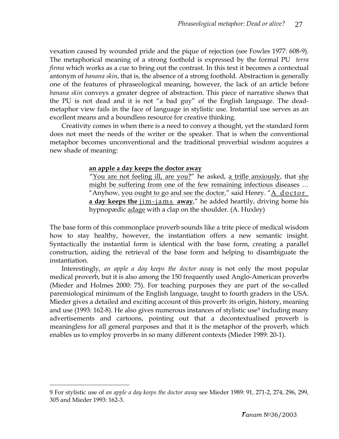vexation caused by wounded pride and the pique of rejection (see Fowles 1977: 608-9). The metaphorical meaning of a strong foothold is expressed by the formal PU *terra firma* which works as a cue to bring out the contrast. In this text it becomes a contextual antonym of *banana skin*, that is, the absence of a strong foothold. Abstraction is generally one of the features of phraseological meaning, however, the lack of an article before *banana skin* conveys a greater degree of abstraction. This piece of narrative shows that the PU is not dead and it is not "a bad guy" of the English language. The deadmetaphor view fails in the face of language in stylistic use. Instantial use serves as an excellent means and a boundless resource for creative thinking.

Creativity comes in when there is a need to convey a thought, yet the standard form does not meet the needs of the writer or the speaker. That is when the conventional metaphor becomes unconventional and the traditional proverbial wisdom acquires a new shade of meaning:

#### **an apple a day keeps the doctor away**

 "You are not feeling ill, are you?" he asked, a trifle anxiously, that she might be suffering from one of the few remaining infectious diseases … "Anyhow, you ought to go and see the doctor," said Henry. "A doctor **a day keeps the** jim-jams **away**," he added heartily, driving home his hypnopædic adage with a clap on the shoulder. (A. Huxley)

The base form of this commonplace proverb sounds like a trite piece of medical wisdom how to stay healthy, however, the instantiation offers a new semantic insight. Syntactically the instantial form is identical with the base form, creating a parallel construction, aiding the retrieval of the base form and helping to disambiguate the instantiation.

Interestingly, *an apple a day keeps the doctor away* is not only the most popular medical proverb, but it is also among the 150 frequently used Anglo-American proverbs (Mieder and Holmes 2000: 75). For teaching purposes they are part of the so-called paremiological minimum of the English language, taught to fourth graders in the USA. Mieder gives a detailed and exciting account of this proverb: its origin, history, meaning and use (1[9](#page-5-0)93: 162-8). He also gives numerous instances of stylistic use<sup>9</sup> including many advertisements and cartoons, pointing out that a decontextualised proverb is meaningless for all general purposes and that it is the metaphor of the proverb, which enables us to employ proverbs in so many different contexts (Mieder 1989: 20-1).

l

<span id="page-5-0"></span><sup>9</sup> For stylistic use of *an apple a day keeps the doctor away* see Mieder 1989: 91, 271-2, 274, 296, 299, 305 and Mieder 1993: 162-3.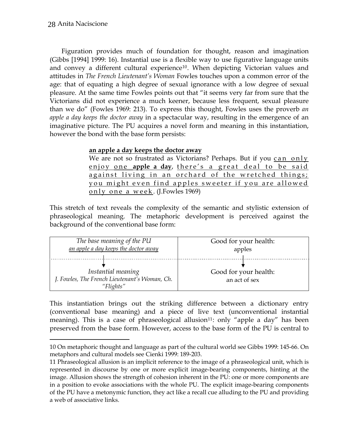$\overline{a}$ 

Figuration provides much of foundation for thought, reason and imagination (Gibbs [1994] 1999: 16). Instantial use is a flexible way to use figurative language units and convey a different cultural experience<sup>[10](#page-6-0)</sup>. When depicting Victorian values and attitudes in *The French Lieutenant's Woman* Fowles touches upon a common error of the age: that of equating a high degree of sexual ignorance with a low degree of sexual pleasure. At the same time Fowles points out that "it seems very far from sure that the Victorians did not experience a much keener, because less frequent, sexual pleasure than we do" (Fowles 1969: 213). To express this thought, Fowles uses the proverb *an apple a day keeps the doctor away* in a spectacular way, resulting in the emergence of an imaginative picture. The PU acquires a novel form and meaning in this instantiation, however the bond with the base form persists:

#### **an apple a day keeps the doctor away**

We are not so frustrated as Victorians? Perhaps. But if you can only enjoy one **apple a day**, there's a great deal to be said against living in an orchard of the wretched things; you might even find apples sweeter if you are allowed only one a week . (J.Fowles 1969)

This stretch of text reveals the complexity of the semantic and stylistic extension of phraseological meaning. The metaphoric development is perceived against the background of the conventional base form:

| The base meaning of the PU                    | Good for your health: |
|-----------------------------------------------|-----------------------|
|                                               |                       |
| an apple a day keeps the doctor away          | apples                |
|                                               |                       |
|                                               |                       |
|                                               |                       |
|                                               |                       |
| Instantial meaning                            | Good for your health: |
|                                               |                       |
| J. Fowles, The French Lieutenant's Woman, Ch. | an act of sex         |
|                                               |                       |
| "Flights"                                     |                       |
|                                               |                       |

This instantiation brings out the striking difference between a dictionary entry (conventional base meaning) and a piece of live text (unconventional instantial meaning). This is a case of phraseological allusion<sup>[11](#page-6-1)</sup>: only "apple a day" has been preserved from the base form. However, access to the base form of the PU is central to

<span id="page-6-0"></span><sup>10</sup> On metaphoric thought and language as part of the cultural world see Gibbs 1999: 145-66. On metaphors and cultural models see Cienki 1999: 189-203.

<span id="page-6-1"></span><sup>11</sup> Phraseological allusion is an implicit reference to the image of a phraseological unit, which is represented in discourse by one or more explicit image-bearing components, hinting at the image. Allusion shows the strength of cohesion inherent in the PU: one or more components are in a position to evoke associations with the whole PU. The explicit image-bearing components of the PU have a metonymic function, they act like a recall cue alluding to the PU and providing a web of associative links.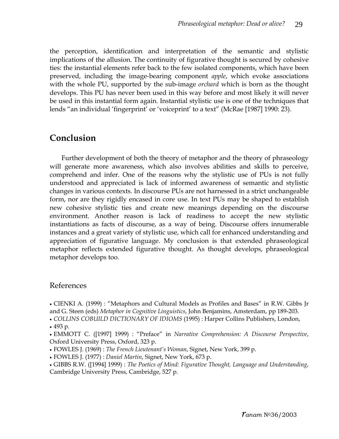the perception, identification and interpretation of the semantic and stylistic implications of the allusion. The continuity of figurative thought is secured by cohesive ties: the instantial elements refer back to the few isolated components, which have been preserved, including the image-bearing component *apple*, which evoke associations with the whole PU, supported by the sub-image *orchard* which is born as the thought develops. This PU has never been used in this way before and most likely it will never be used in this instantial form again. Instantial stylistic use is one of the techniques that lends "an individual 'fingerprint' or 'voiceprint' to a text" (McRae [1987] 1990: 23).

### **Conclusion**

Further development of both the theory of metaphor and the theory of phraseology will generate more awareness, which also involves abilities and skills to perceive, comprehend and infer. One of the reasons why the stylistic use of PUs is not fully understood and appreciated is lack of informed awareness of semantic and stylistic changes in various contexts. In discourse PUs are not harnessed in a strict unchangeable form, nor are they rigidly encased in core use. In text PUs may be shaped to establish new cohesive stylistic ties and create new meanings depending on the discourse environment. Another reason is lack of readiness to accept the new stylistic instantiations as facts of discourse, as a way of being. Discourse offers innumerable instances and a great variety of stylistic use, which call for enhanced understanding and appreciation of figurative language. My conclusion is that extended phraseological metaphor reflects extended figurative thought. As thought develops, phraseological metaphor develops too.

#### References

• CIENKI A. (1999) : "Metaphors and Cultural Models as Profiles and Bases" in R.W. Gibbs Jr and G. Steen (eds) *Metaphor in Cognitive Linguistics*, John Benjamins, Amsterdam, pp 189-203.

• *COLLINS COBUILD DICTIONARY OF IDIOMS* (1995) : Harper Collins Publishers, London, • 493 p.

• EMMOTT C. ([1997] 1999) : "Preface" in *Narrative Comprehension: A Discourse Perspective*, Oxford University Press, Oxford, 323 p.

- FOWLES J. (1969) : *The French Lieutenant's Woman*, Signet, New York, 399 p.
- FOWLES J. (1977) : *Daniel Martin*, Signet, New York, 673 p.
- GIBBS R.W. ([1994] 1999) : *The Poetics of Mind: Figurative Thought, Language and Understanding*, Cambridge University Press, Cambridge, 527 p.